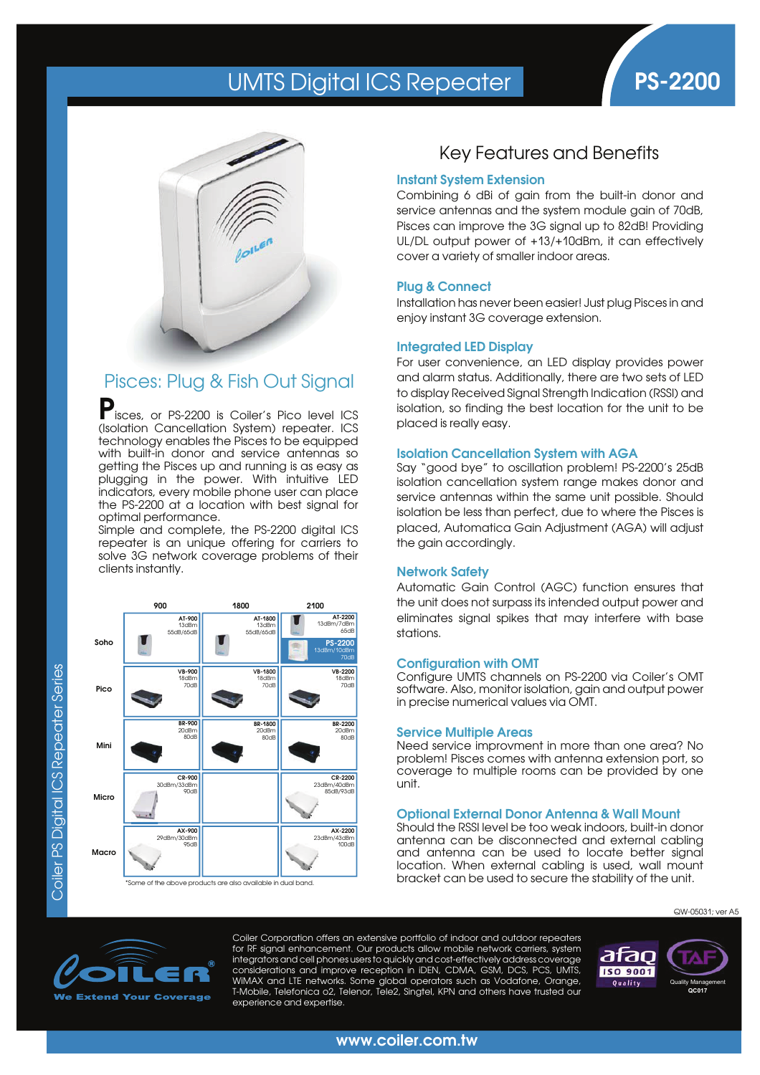# UMTS Digital ICS Repeater **PS-2200**





## Pisces: Plug & Fish Out Signal

Pisces, or PS-2200 is Coiler's Pico level ICS (Isolation Cancellation System) repeater. ICS technology enables the Pisces to be equipped with built-in donor and service antennas so getting the Pisces up and running is as easy as plugging in the power. With intuitive LED indicators, every mobile phone user can place the PS-2200 at a location with best signal for optimal performance.

Simple and complete, the PS-2200 digital ICS repeater is an unique offering for carriers to solve 3G network coverage problems of their clients instantly.



### Key Features and Benefits

#### **Instant System Extension**

Combining 6 dBi of gain from the built-in donor and service antennas and the system module gain of 70dB, Pisces can improve the 3G signal up to 82dB! Providing UL/DL output power of +13/+10dBm, it can effectively cover a variety of smaller indoor areas.

#### **Plug & Connect**

Installation has never been easier! Just plug Pisces in and enjoy instant 3G coverage extension.

#### **Integrated LED Display**

For user convenience, an LED display provides power and alarm status. Additionally, there are two sets of LED to display Received Signal Strength Indication (RSSI) and isolation, so finding the best location for the unit to be placed is really easy.

#### **Isolation Cancellation System with AGA**

Say "good bye" to oscillation problem! PS-2200's 25dB isolation cancellation system range makes donor and service antennas within the same unit possible. Should isolation be less than perfect, due to where the Pisces is placed, Automatica Gain Adjustment (AGA) will adjust the gain accordingly.

#### **Network Safety**

Automatic Gain Control (AGC) function ensures that the unit does not surpass its intended output power and eliminates signal spikes that may interfere with base stations.

#### **Configuration with OMT**

Configure UMTS channels on PS-2200 via Coiler's OMT software. Also, monitor isolation, gain and output power in precise numerical values via OMT.

#### **Service Multiple Areas**

Need service improvment in more than one area? No problem! Pisces comes with antenna extension port, so coverage to multiple rooms can be provided by one unit.

#### **Optional External Donor Antenna & Wall Mount**

Should the RSSI level be too weak indoors, built-in donor antenna can be disconnected and external cabling and antenna can be used to locate better signal location. When external cabling is used, wall mount bracket can be used to secure the stability of the unit.



Coiler Corporation offers an extensive portfolio of indoor and outdoor repeaters for RF signal enhancement. Our products allow mobile network carriers, system integrators and cell phones users to quickly and cost-effectively address coverage considerations and improve reception in iDEN, CDMA, GSM, DCS, PCS, UMTS, WiMAX and LTE networks. Some global operators such as Vodafone, Orange, T-Mobile, Telefonica o2, Telenor, Tele2, Singtel, KPN and others have trusted our experience and expertise.



QW-05031; ver A5

**www.coiler.com.tw**